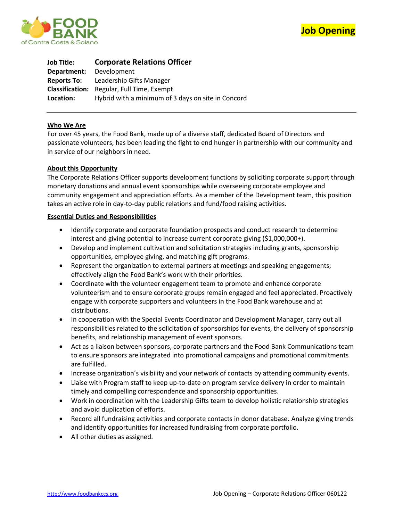



| <b>Job Title:</b>  | <b>Corporate Relations Officer</b>                 |
|--------------------|----------------------------------------------------|
| Department:        | Development                                        |
| <b>Reports To:</b> | Leadership Gifts Manager                           |
|                    | <b>Classification:</b> Regular, Full Time, Exempt  |
| Location:          | Hybrid with a minimum of 3 days on site in Concord |

### **Who We Are**

For over 45 years, the Food Bank, made up of a diverse staff, dedicated Board of Directors and passionate volunteers, has been leading the fight to end hunger in partnership with our community and in service of our neighbors in need.

### **About this Opportunity**

The Corporate Relations Officer supports development functions by soliciting corporate support through monetary donations and annual event sponsorships while overseeing corporate employee and community engagement and appreciation efforts. As a member of the Development team, this position takes an active role in day-to-day public relations and fund/food raising activities.

#### **Essential Duties and Responsibilities**

- Identify corporate and corporate foundation prospects and conduct research to determine interest and giving potential to increase current corporate giving (\$1,000,000+).
- Develop and implement cultivation and solicitation strategies including grants, sponsorship opportunities, employee giving, and matching gift programs.
- Represent the organization to external partners at meetings and speaking engagements; effectively align the Food Bank's work with their priorities.
- Coordinate with the volunteer engagement team to promote and enhance corporate volunteerism and to ensure corporate groups remain engaged and feel appreciated. Proactively engage with corporate supporters and volunteers in the Food Bank warehouse and at distributions.
- In cooperation with the Special Events Coordinator and Development Manager, carry out all responsibilities related to the solicitation of sponsorships for events, the delivery of sponsorship benefits, and relationship management of event sponsors.
- Act as a liaison between sponsors, corporate partners and the Food Bank Communications team to ensure sponsors are integrated into promotional campaigns and promotional commitments are fulfilled.
- Increase organization's visibility and your network of contacts by attending community events.
- Liaise with Program staff to keep up-to-date on program service delivery in order to maintain timely and compelling correspondence and sponsorship opportunities.
- Work in coordination with the Leadership Gifts team to develop holistic relationship strategies and avoid duplication of efforts.
- Record all fundraising activities and corporate contacts in donor database. Analyze giving trends and identify opportunities for increased fundraising from corporate portfolio.
- All other duties as assigned.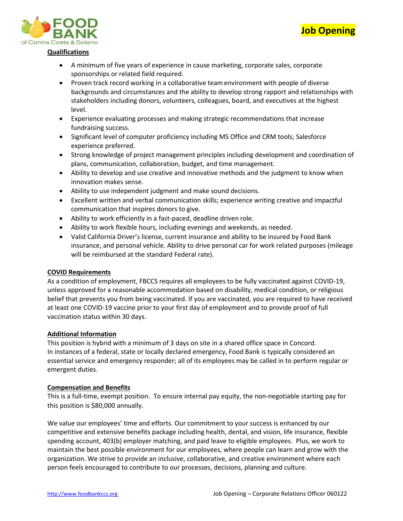



### **Qualifications**

- A minimum of five years of experience in cause marketing, corporate sales, corporate sponsorships or related field required.
- Proven track record working in a collaborative teamenvironment with people of diverse backgrounds and circumstances and the ability to develop strong rapport and relationships with stakeholders including donors, volunteers, colleagues, board, and executives at the highest level.
- Experience evaluating processes and making strategic recommendations that increase fundraising success.
- Significant level of computer proficiency including MS Office and CRM tools; Salesforce experience preferred.
- Strong knowledge of project management principles including development and coordination of plans, communication, collaboration, budget, and time management.
- Ability to develop and use creative and innovative methods and the judgment to know when innovation makes sense.
- Ability to use independent judgment and make sound decisions.
- Excellent written and verbal communication skills; experience writing creative and impactful communication that inspires donors to give.
- Ability to work efficiently in a fast-paced, deadline driven role.
- Ability to work flexible hours, including evenings and weekends, as needed.
- Valid California Driver's license, current insurance and ability to be insured by Food Bank insurance, and personal vehicle. Ability to drive personal car for work related purposes (mileage will be reimbursed at the standard Federal rate).

## **COVID Requirements**

As a condition of employment, FBCCS requires all employees to be fully vaccinated against COVID-19, unless approved for a reasonable accommodation based on disability, medical condition, or religious belief that prevents you from being vaccinated. If you are vaccinated, you are required to have received at least one COVID-19 vaccine prior to your first day of employment and to provide proof of full vaccination status within 30 days.

### **Additional Information**

This position is hybrid with a minimum of 3 days on site in a shared office space in Concord. In instances of a federal, state or locally declared emergency, Food Bank is typically considered an essential service and emergency responder; all of its employees may be called in to perform regular or emergent duties.

### **Compensation and Benefits**

This is a full-time, exempt position. To ensure internal pay equity, the non-negotiable starting pay for this position is \$80,000 annually.

We value our employees' time and efforts. Our commitment to your success is enhanced by our competitive and extensive benefits package including health, dental, and vision, life insurance, flexible spending account, 403(b) employer matching, and paid leave to eligible employees. Plus, we work to maintain the best possible environment for our employees, where people can learn and grow with the organization. We strive to provide an inclusive, collaborative, and creative environment where each person feels encouraged to contribute to our processes, decisions, planning and culture.